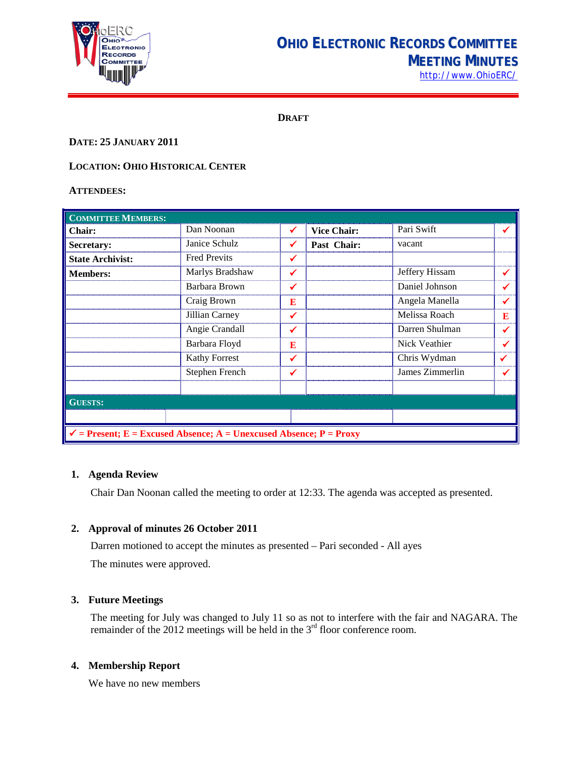

# **OHIO ELECTRONIC RECORDS COMMITTEE MEETING MINUTES** [http://www.OhioERC/](http://www.ohioerc/)

**DRAFT**

## **DATE: 25 JANUARY 2011**

## **LOCATION: OHIO HISTORICAL CENTER**

#### **ATTENDEES:**

| <b>COMMITTEE MEMBERS:</b>                                                     |                     |   |                    |                 |   |  |  |
|-------------------------------------------------------------------------------|---------------------|---|--------------------|-----------------|---|--|--|
| <b>Chair:</b>                                                                 | Dan Noonan          | ✓ | <b>Vice Chair:</b> | Pari Swift      |   |  |  |
| Secretary:                                                                    | Janice Schulz       | ✓ | Past Chair:        | vacant          |   |  |  |
| <b>State Archivist:</b>                                                       | <b>Fred Previts</b> | ✔ |                    |                 |   |  |  |
| <b>Members:</b>                                                               | Marlys Bradshaw     | ✔ |                    | Jeffery Hissam  |   |  |  |
|                                                                               | Barbara Brown       | ✔ |                    | Daniel Johnson  |   |  |  |
|                                                                               | Craig Brown         | E |                    | Angela Manella  |   |  |  |
|                                                                               | Jillian Carney      | ✔ |                    | Melissa Roach   | E |  |  |
|                                                                               | Angie Crandall      | ✓ |                    | Darren Shulman  |   |  |  |
|                                                                               | Barbara Floyd       | E |                    | Nick Veathier   |   |  |  |
|                                                                               | Kathy Forrest       | ✔ |                    | Chris Wydman    |   |  |  |
|                                                                               | Stephen French      | ✔ |                    | James Zimmerlin |   |  |  |
|                                                                               |                     |   |                    |                 |   |  |  |
| <b>GUESTS:</b>                                                                |                     |   |                    |                 |   |  |  |
|                                                                               |                     |   |                    |                 |   |  |  |
| $\checkmark$ = Present; E = Excused Absence; A = Unexcused Absence; P = Proxy |                     |   |                    |                 |   |  |  |

#### **1. Agenda Review**

Chair Dan Noonan called the meeting to order at 12:33. The agenda was accepted as presented.

#### **2. Approval of minutes 26 October 2011**

Darren motioned to accept the minutes as presented – Pari seconded - All ayes The minutes were approved.

#### **3. Future Meetings**

The meeting for July was changed to July 11 so as not to interfere with the fair and NAGARA. The remainder of the 2012 meetings will be held in the  $3<sup>rd</sup>$  floor conference room.

# **4. Membership Report**

We have no new members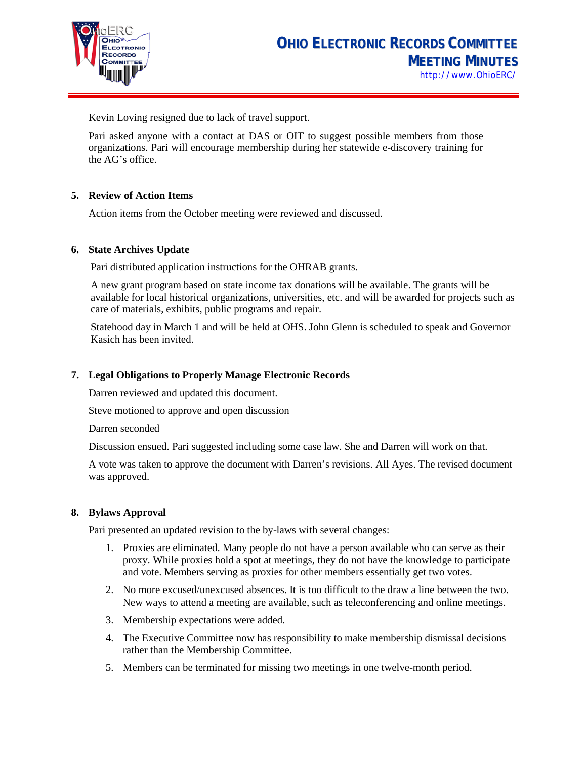

Kevin Loving resigned due to lack of travel support.

Pari asked anyone with a contact at DAS or OIT to suggest possible members from those organizations. Pari will encourage membership during her statewide e-discovery training for the AG's office.

## **5. Review of Action Items**

Action items from the October meeting were reviewed and discussed.

#### **6. State Archives Update**

Pari distributed application instructions for the OHRAB grants.

A new grant program based on state income tax donations will be available. The grants will be available for local historical organizations, universities, etc. and will be awarded for projects such as care of materials, exhibits, public programs and repair.

Statehood day in March 1 and will be held at OHS. John Glenn is scheduled to speak and Governor Kasich has been invited.

#### **7. Legal Obligations to Properly Manage Electronic Records**

Darren reviewed and updated this document.

Steve motioned to approve and open discussion

Darren seconded

Discussion ensued. Pari suggested including some case law. She and Darren will work on that.

A vote was taken to approve the document with Darren's revisions. All Ayes. The revised document was approved.

#### **8. Bylaws Approval**

Pari presented an updated revision to the by-laws with several changes:

- 1. Proxies are eliminated. Many people do not have a person available who can serve as their proxy. While proxies hold a spot at meetings, they do not have the knowledge to participate and vote. Members serving as proxies for other members essentially get two votes.
- 2. No more excused/unexcused absences. It is too difficult to the draw a line between the two. New ways to attend a meeting are available, such as teleconferencing and online meetings.
- 3. Membership expectations were added.
- 4. The Executive Committee now has responsibility to make membership dismissal decisions rather than the Membership Committee.
- 5. Members can be terminated for missing two meetings in one twelve-month period.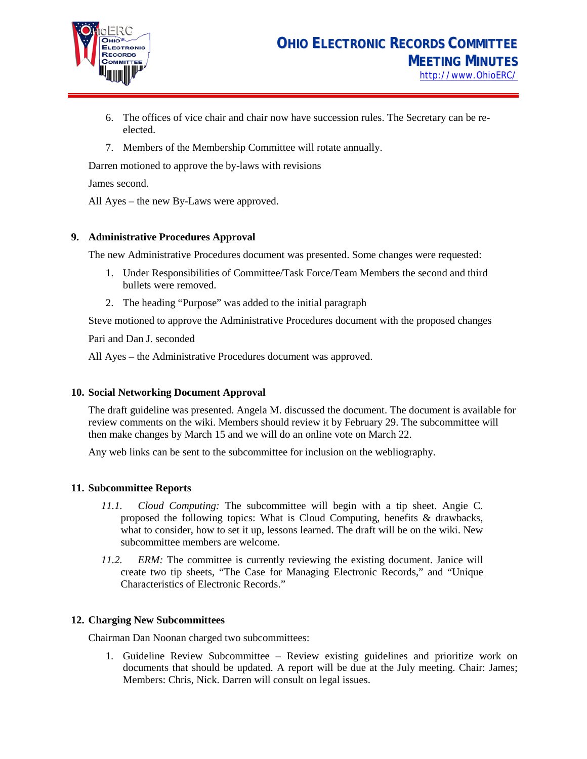

- 6. The offices of vice chair and chair now have succession rules. The Secretary can be reelected.
- 7. Members of the Membership Committee will rotate annually.

Darren motioned to approve the by-laws with revisions

James second.

All Ayes – the new By-Laws were approved.

#### **9. Administrative Procedures Approval**

The new Administrative Procedures document was presented. Some changes were requested:

- 1. Under Responsibilities of Committee/Task Force/Team Members the second and third bullets were removed.
- 2. The heading "Purpose" was added to the initial paragraph

Steve motioned to approve the Administrative Procedures document with the proposed changes

Pari and Dan J. seconded

All Ayes – the Administrative Procedures document was approved.

#### **10. Social Networking Document Approval**

The draft guideline was presented. Angela M. discussed the document. The document is available for review comments on the wiki. Members should review it by February 29. The subcommittee will then make changes by March 15 and we will do an online vote on March 22.

Any web links can be sent to the subcommittee for inclusion on the webliography.

#### **11. Subcommittee Reports**

- *11.1. Cloud Computing:* The subcommittee will begin with a tip sheet. Angie C. proposed the following topics: What is Cloud Computing, benefits & drawbacks, what to consider, how to set it up, lessons learned. The draft will be on the wiki. New subcommittee members are welcome.
- *11.2. ERM:* The committee is currently reviewing the existing document. Janice will create two tip sheets, "The Case for Managing Electronic Records," and "Unique Characteristics of Electronic Records."

#### **12. Charging New Subcommittees**

Chairman Dan Noonan charged two subcommittees:

1. Guideline Review Subcommittee – Review existing guidelines and prioritize work on documents that should be updated. A report will be due at the July meeting. Chair: James; Members: Chris, Nick. Darren will consult on legal issues.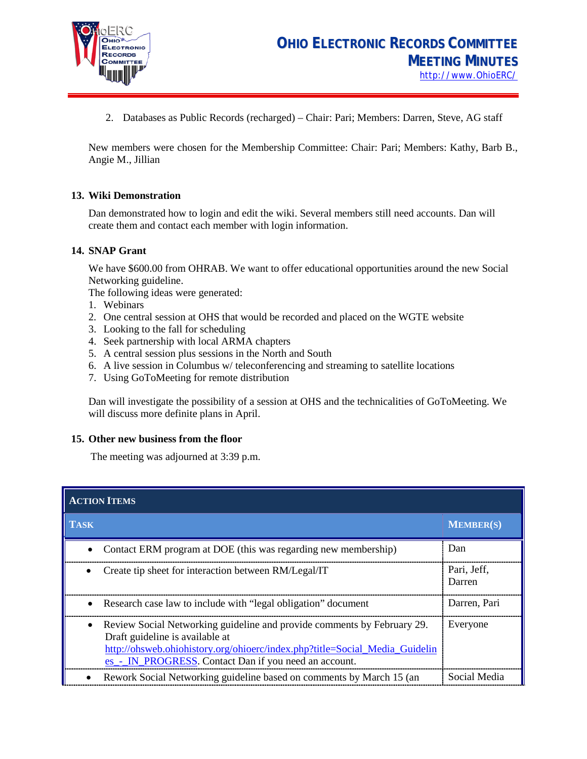

2. Databases as Public Records (recharged) – Chair: Pari; Members: Darren, Steve, AG staff

New members were chosen for the Membership Committee: Chair: Pari; Members: Kathy, Barb B., Angie M., Jillian

#### **13. Wiki Demonstration**

Dan demonstrated how to login and edit the wiki. Several members still need accounts. Dan will create them and contact each member with login information.

#### **14. SNAP Grant**

We have \$600.00 from OHRAB. We want to offer educational opportunities around the new Social Networking guideline.

The following ideas were generated:

- 1. Webinars
- 2. One central session at OHS that would be recorded and placed on the WGTE website
- 3. Looking to the fall for scheduling
- 4. Seek partnership with local ARMA chapters
- 5. A central session plus sessions in the North and South
- 6. A live session in Columbus w/ teleconferencing and streaming to satellite locations
- 7. Using GoToMeeting for remote distribution

Dan will investigate the possibility of a session at OHS and the technicalities of GoToMeeting. We will discuss more definite plans in April.

#### **15. Other new business from the floor**

The meeting was adjourned at 3:39 p.m.

| <b>ACTION ITEMS</b>                                                                                                                                                                                                                                             |                       |  |  |  |
|-----------------------------------------------------------------------------------------------------------------------------------------------------------------------------------------------------------------------------------------------------------------|-----------------------|--|--|--|
| <b>TASK</b>                                                                                                                                                                                                                                                     | <b>MEMBER(S)</b>      |  |  |  |
| Contact ERM program at DOE (this was regarding new membership)                                                                                                                                                                                                  | Dan                   |  |  |  |
| Create tip sheet for interaction between RM/Legal/IT                                                                                                                                                                                                            | Pari, Jeff,<br>Darren |  |  |  |
| Research case law to include with "legal obligation" document<br>$\bullet$                                                                                                                                                                                      | Darren, Pari          |  |  |  |
| Review Social Networking guideline and provide comments by February 29.<br>$\bullet$<br>Draft guideline is available at<br>http://ohsweb.ohiohistory.org/ohioerc/index.php?title=Social_Media_Guidelin<br>es - IN PROGRESS. Contact Dan if you need an account. | Everyone              |  |  |  |
| Rework Social Networking guideline based on comments by March 15 (an                                                                                                                                                                                            | Social Media          |  |  |  |